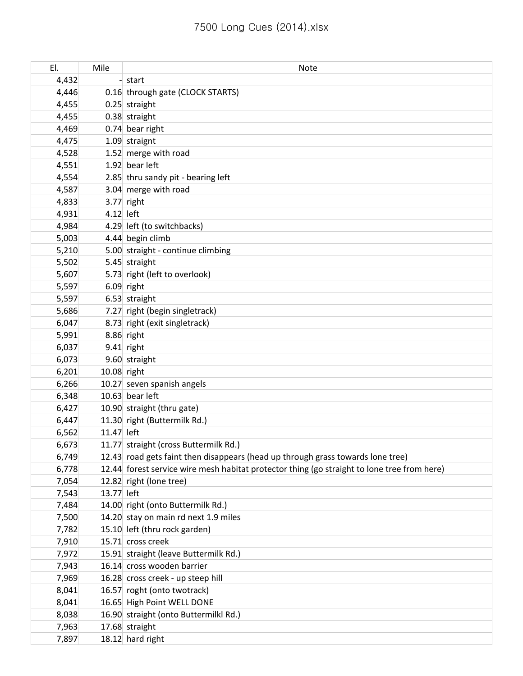| EI.   | Mile        | <b>Note</b>                                                                                 |
|-------|-------------|---------------------------------------------------------------------------------------------|
| 4,432 |             | start                                                                                       |
| 4,446 |             | 0.16 through gate (CLOCK STARTS)                                                            |
| 4,455 |             | 0.25 straight                                                                               |
| 4,455 |             | 0.38 straight                                                                               |
| 4,469 |             | 0.74 bear right                                                                             |
| 4,475 |             | 1.09 straignt                                                                               |
| 4,528 |             | 1.52 merge with road                                                                        |
| 4,551 |             | 1.92 bear left                                                                              |
| 4,554 |             | 2.85 thru sandy pit - bearing left                                                          |
| 4,587 |             | 3.04 merge with road                                                                        |
| 4,833 |             | $3.77$ right                                                                                |
| 4,931 | 4.12 left   |                                                                                             |
| 4,984 |             | 4.29 left (to switchbacks)                                                                  |
| 5,003 |             | 4.44 begin climb                                                                            |
| 5,210 |             | 5.00 straight - continue climbing                                                           |
| 5,502 |             | 5.45 straight                                                                               |
| 5,607 |             | 5.73 right (left to overlook)                                                               |
| 5,597 |             | $6.09$ right                                                                                |
| 5,597 |             | 6.53 straight                                                                               |
| 5,686 |             | 7.27 right (begin singletrack)                                                              |
| 6,047 |             | 8.73 right (exit singletrack)                                                               |
| 5,991 |             | 8.86 right                                                                                  |
| 6,037 |             | 9.41 right                                                                                  |
| 6,073 |             | 9.60 straight                                                                               |
| 6,201 | 10.08 right |                                                                                             |
| 6,266 |             | 10.27 seven spanish angels                                                                  |
| 6,348 |             | 10.63 bear left                                                                             |
| 6,427 |             | 10.90 straight (thru gate)                                                                  |
| 6,447 |             | 11.30 right (Buttermilk Rd.)                                                                |
| 6,562 | 11.47 left  |                                                                                             |
| 6,673 |             | 11.77 straight (cross Buttermilk Rd.)                                                       |
| 6,749 |             | 12.43 road gets faint then disappears (head up through grass towards lone tree)             |
| 6,778 |             | 12.44 forest service wire mesh habitat protector thing (go straight to lone tree from here) |
| 7,054 |             | 12.82 right (lone tree)                                                                     |
| 7,543 | 13.77 left  |                                                                                             |
| 7,484 |             | 14.00 right (onto Buttermilk Rd.)                                                           |
| 7,500 |             | 14.20 stay on main rd next 1.9 miles                                                        |
| 7,782 |             | 15.10 left (thru rock garden)                                                               |
| 7,910 |             | 15.71 cross creek                                                                           |
| 7,972 |             | 15.91 straight (leave Buttermilk Rd.)                                                       |
| 7,943 |             | 16.14 cross wooden barrier                                                                  |
| 7,969 |             | 16.28 cross creek - up steep hill                                                           |
| 8,041 |             | 16.57 roght (onto twotrack)                                                                 |
| 8,041 |             | 16.65 High Point WELL DONE                                                                  |
| 8,038 |             | 16.90 straight (onto Buttermilkl Rd.)                                                       |
| 7,963 |             | 17.68 straight                                                                              |
| 7,897 |             | 18.12 hard right                                                                            |